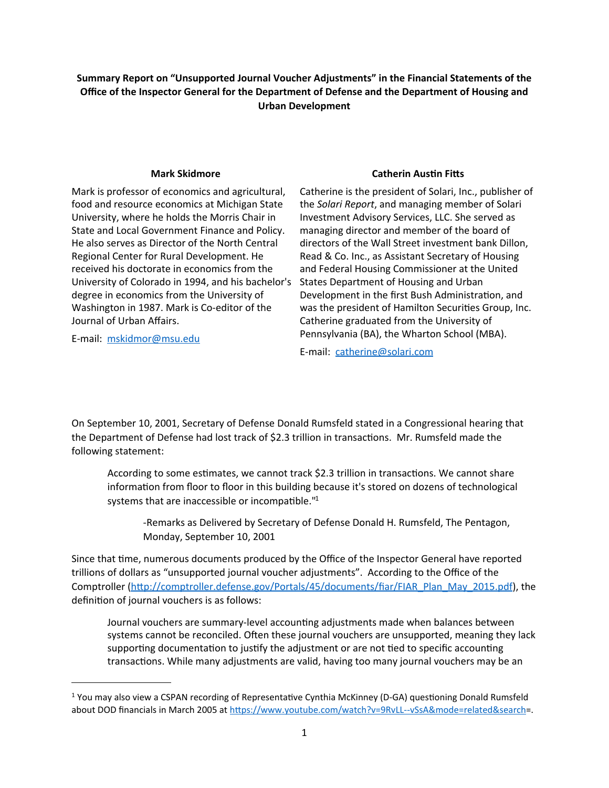Summary Report on "Unsupported Journal Voucher Adjustments" in the Financial Statements of the **Office of the Inspector General for the Department of Defense and the Department of Housing and Urban Development**

## **Mark Skidmore**

Mark is professor of economics and agricultural, food and resource economics at Michigan State University, where he holds the Morris Chair in State and Local Government Finance and Policy. He also serves as Director of the North Central Regional Center for Rural Development. He received his doctorate in economics from the University of Colorado in 1994, and his bachelor's degree in economics from the University of Washington in 1987. Mark is Co-editor of the Journal of Urban Affairs.

E-mail: [mskidmor@msu.edu](mailto:mskidmor@msu.edu)

## **Catherin Austin Fitts**

Catherine is the president of Solari, Inc., publisher of the *Solari Report*, and managing member of Solari Investment Advisory Services, LLC. She served as managing director and member of the board of directors of the Wall Street investment bank Dillon, Read & Co. Inc., as Assistant Secretary of Housing and Federal Housing Commissioner at the United States Department of Housing and Urban Development in the first Bush Administration, and was the president of Hamilton Securities Group, Inc. Catherine graduated from the University of Pennsylvania (BA), the Wharton School (MBA).

E-mail: catherine@solari.com

On September 10, 2001, Secretary of Defense Donald Rumsfeld stated in a Congressional hearing that the Department of Defense had lost track of \$2.3 trillion in transactions. Mr. Rumsfeld made the following statement:

According to some estimates, we cannot track \$2.3 trillion in transactions. We cannot share information from floor to floor in this building because it's stored on dozens of technological systems that are inaccessible or incompatible. $"1$ 

-Remarks as Delivered by Secretary of Defense Donald H. Rumsfeld, The Pentagon, Monday, September 10, 2001

Since that time, numerous documents produced by the Office of the Inspector General have reported trillions of dollars as "unsupported journal voucher adjustments". According to the Office of the Comptroller (http://comptroller.defense.gov/Portals/45/documents/fiar/FIAR\_Plan\_May\_2015.pdf), the definition of journal vouchers is as follows:

Journal vouchers are summary-level accounting adjustments made when balances between systems cannot be reconciled. Often these journal vouchers are unsupported, meaning they lack supporting documentation to justify the adjustment or are not tied to specific accounting transactions. While many adjustments are valid, having too many journal vouchers may be an

<span id="page-0-0"></span><sup>&</sup>lt;sup>1</sup> You may also view a CSPAN recording of Representative Cynthia McKinney (D-GA) questioning Donald Rumsfeld about DOD financials in March 2005 at https://www.youtube.com/watch?v=9RvLL--vSsA&mode=related&search=.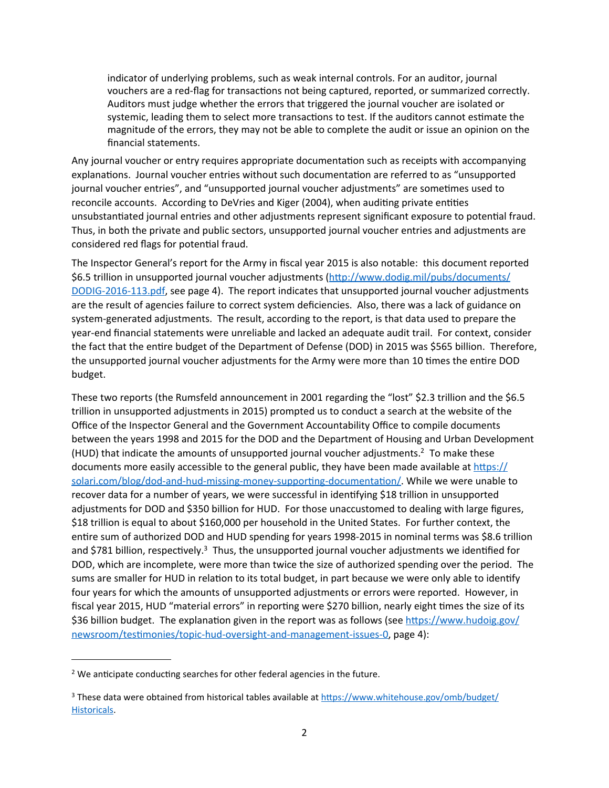indicator of underlying problems, such as weak internal controls. For an auditor, journal vouchers are a red-flag for transactions not being captured, reported, or summarized correctly. Auditors must judge whether the errors that triggered the journal voucher are isolated or systemic, leading them to select more transactions to test. If the auditors cannot estimate the magnitude of the errors, they may not be able to complete the audit or issue an opinion on the financial statements.

Any journal voucher or entry requires appropriate documentation such as receipts with accompanying explanations. Journal voucher entries without such documentation are referred to as "unsupported journal voucher entries", and "unsupported journal voucher adjustments" are sometimes used to reconcile accounts. According to DeVries and Kiger (2004), when auditing private entities unsubstantiated journal entries and other adjustments represent significant exposure to potential fraud. Thus, in both the private and public sectors, unsupported journal voucher entries and adjustments are considered red flags for potential fraud.

The Inspector General's report for the Army in fiscal year 2015 is also notable: this document reported \$6.5 trillion in unsupported journal voucher adjustments (http://www.dodig.mil/pubs/documents/ [DODIG-2016-113.pdf,](http://www.dodig.mil/pubs/documents/DODIG-2016-113.pdf) see page 4). The report indicates that unsupported journal voucher adjustments are the result of agencies failure to correct system deficiencies. Also, there was a lack of guidance on system-generated adjustments. The result, according to the report, is that data used to prepare the year-end financial statements were unreliable and lacked an adequate audit trail. For context, consider the fact that the entire budget of the Department of Defense (DOD) in 2015 was \$565 billion. Therefore, the unsupported journal voucher adjustments for the Army were more than 10 times the entire DOD budget.

These two reports (the Rumsfeld announcement in 2001 regarding the "lost" \$2.3 trillion and the \$6.5 trillion in unsupported adjustments in 2015) prompted us to conduct a search at the website of the Office of the Inspector General and the Government Accountability Office to compile documents between the years 1998 and 2015 for the DOD and the Department of Housing and Urban Development (HUD) that indicate the amounts of unsupported journal voucher adjustments.<sup>2</sup> To make these documents more easily accessible to the general public, they have been made available at https:// solari.com/blog/dod-and-hud-missing-money-supporting-documentation/. While we were unable to recover data for a number of years, we were successful in identifying \$18 trillion in unsupported adjustments for DOD and \$350 billion for HUD. For those unaccustomed to dealing with large figures, \$18 trillion is equal to about \$160,000 per household in the United States. For further context, the entire sum of authorized DOD and HUD spending for years 1998-2015 in nominal terms was \$8.6 trillion and \$781 billion, respectively.<sup>3</sup> Thus, the unsupported journal voucher adjustments we identified for DOD, which are incomplete, were more than twice the size of authorized spending over the period. The sums are smaller for HUD in relation to its total budget, in part because we were only able to identify four years for which the amounts of unsupported adjustments or errors were reported. However, in fiscal year 2015, HUD "material errors" in reporting were \$270 billion, nearly eight times the size of its \$36 billion budget. The explanation given in the report was as follows (see https://www.hudoig.gov/ newsroom/testimonies/topic-hud-oversight-and-management-issues-0, page 4):

<span id="page-1-0"></span> $2$  We anticipate conducting searches for other federal agencies in the future.

<span id="page-1-1"></span><sup>&</sup>lt;sup>3</sup> These data were obtained from historical tables available at https://www.whitehouse.gov/omb/budget/ [Historicals](https://www.whitehouse.gov/omb/budget/Historicals).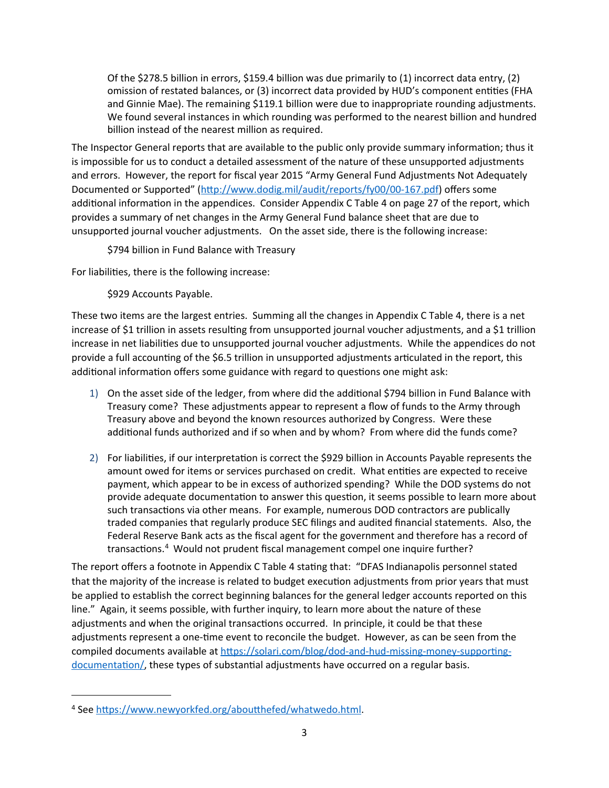Of the \$278.5 billion in errors, \$159.4 billion was due primarily to  $(1)$  incorrect data entry,  $(2)$ omission of restated balances, or (3) incorrect data provided by HUD's component entities (FHA and Ginnie Mae). The remaining \$119.1 billion were due to inappropriate rounding adjustments. We found several instances in which rounding was performed to the nearest billion and hundred billion instead of the nearest million as required.

The Inspector General reports that are available to the public only provide summary information; thus it is impossible for us to conduct a detailed assessment of the nature of these unsupported adjustments and errors. However, the report for fiscal year 2015 "Army General Fund Adjustments Not Adequately Documented or Supported" (http://www.dodig.mil/audit/reports/fy00/00-167.pdf) offers some additional information in the appendices. Consider Appendix C Table 4 on page 27 of the report, which provides a summary of net changes in the Army General Fund balance sheet that are due to unsupported journal voucher adjustments. On the asset side, there is the following increase:

\$794 billion in Fund Balance with Treasury

For liabilities, there is the following increase:

\$929 Accounts Payable.

These two items are the largest entries. Summing all the changes in Appendix C Table 4, there is a net increase of \$1 trillion in assets resulting from unsupported journal voucher adjustments, and a \$1 trillion increase in net liabilities due to unsupported journal voucher adjustments. While the appendices do not provide a full accounting of the \$6.5 trillion in unsupported adjustments articulated in the report, this additional information offers some guidance with regard to questions one might ask:

- 1) On the asset side of the ledger, from where did the additional \$794 billion in Fund Balance with Treasury come? These adjustments appear to represent a flow of funds to the Army through Treasury above and beyond the known resources authorized by Congress. Were these additional funds authorized and if so when and by whom? From where did the funds come?
- 2) For liabilities, if our interpretation is correct the \$929 billion in Accounts Payable represents the amount owed for items or services purchased on credit. What entities are expected to receive payment, which appear to be in excess of authorized spending? While the DOD systems do not provide adequate documentation to answer this question, it seems possible to learn more about such transactions via other means. For example, numerous DOD contractors are publically traded companies that regularly produce SEC filings and audited financial statements. Also, the Federal Reserve Bank acts as the fiscal agent for the government and therefore has a record of transactions.<sup>[4](#page-2-0)</sup> Would not prudent fiscal management compel one inquire further?

The report offers a footnote in Appendix C Table 4 stating that: "DFAS Indianapolis personnel stated that the majority of the increase is related to budget execution adjustments from prior years that must be applied to establish the correct beginning balances for the general ledger accounts reported on this line." Again, it seems possible, with further inquiry, to learn more about the nature of these adjustments and when the original transactions occurred. In principle, it could be that these adjustments represent a one-time event to reconcile the budget. However, as can be seen from the compiled documents available at https://solari.com/blog/dod-and-hud-missing-money-supportingdocumentation/, these types of substantial adjustments have occurred on a regular basis.

<span id="page-2-0"></span><sup>&</sup>lt;sup>4</sup> See https://www.newyorkfed.org/aboutthefed/whatwedo.html.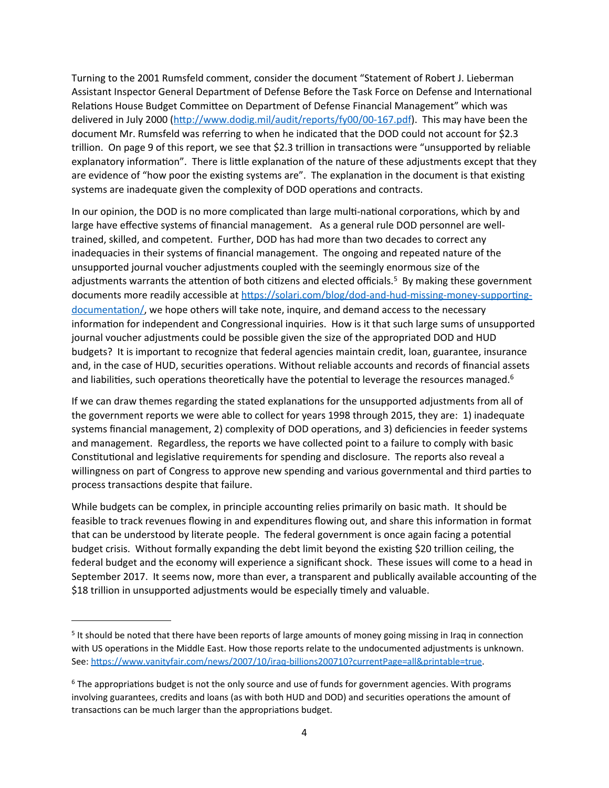Turning to the 2001 Rumsfeld comment, consider the document "Statement of Robert J. Lieberman Assistant Inspector General Department of Defense Before the Task Force on Defense and International Relations House Budget Committee on Department of Defense Financial Management" which was delivered in July 2000 (http://www.dodig.mil/audit/reports/fy00/00-167.pdf). This may have been the document Mr. Rumsfeld was referring to when he indicated that the DOD could not account for \$2.3 trillion. On page 9 of this report, we see that \$2.3 trillion in transactions were "unsupported by reliable explanatory information". There is little explanation of the nature of these adjustments except that they are evidence of "how poor the existing systems are". The explanation in the document is that existing systems are inadequate given the complexity of DOD operations and contracts.

In our opinion, the DOD is no more complicated than large multi-national corporations, which by and large have effective systems of financial management. As a general rule DOD personnel are welltrained, skilled, and competent. Further, DOD has had more than two decades to correct any inadequacies in their systems of financial management. The ongoing and repeated nature of the unsupported journal voucher adjustments coupled with the seemingly enormous size of the adjustments warrants the attention of both citizens and elected officials.<sup>5</sup> By making these government documents more readily accessible at https://solari.com/blog/dod-and-hud-missing-money-supportingdocumentation/, we hope others will take note, inquire, and demand access to the necessary information for independent and Congressional inquiries. How is it that such large sums of unsupported journal voucher adjustments could be possible given the size of the appropriated DOD and HUD budgets? It is important to recognize that federal agencies maintain credit, loan, guarantee, insurance and, in the case of HUD, securities operations. Without reliable accounts and records of financial assets and liabilities, such operations theoretically have the potential to leverage the resources managed.<sup>6</sup>

If we can draw themes regarding the stated explanations for the unsupported adjustments from all of the government reports we were able to collect for years 1998 through 2015, they are: 1) inadequate systems financial management, 2) complexity of DOD operations, and 3) deficiencies in feeder systems and management. Regardless, the reports we have collected point to a failure to comply with basic Constitutional and legislative requirements for spending and disclosure. The reports also reveal a willingness on part of Congress to approve new spending and various governmental and third parties to process transactions despite that failure.

While budgets can be complex, in principle accounting relies primarily on basic math. It should be feasible to track revenues flowing in and expenditures flowing out, and share this information in format that can be understood by literate people. The federal government is once again facing a potential budget crisis. Without formally expanding the debt limit beyond the existing \$20 trillion ceiling, the federal budget and the economy will experience a significant shock. These issues will come to a head in September 2017. It seems now, more than ever, a transparent and publically available accounting of the \$18 trillion in unsupported adjustments would be especially timely and valuable.

<span id="page-3-0"></span><sup>&</sup>lt;sup>5</sup> It should be noted that there have been reports of large amounts of money going missing in Iraq in connection with US operations in the Middle East. How those reports relate to the undocumented adjustments is unknown. See: https://www.vanityfair.com/news/2007/10/iraq-billions200710?currentPage=all&printable=true.

<span id="page-3-1"></span> $6$  The appropriations budget is not the only source and use of funds for government agencies. With programs involving guarantees, credits and loans (as with both HUD and DOD) and securities operations the amount of transactions can be much larger than the appropriations budget.